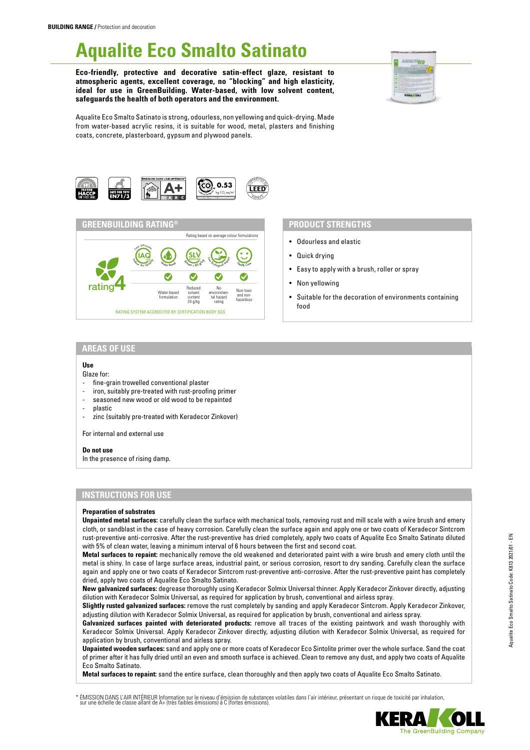# **Aqualite Eco Smalto Satinato**

**Eco-friendly, protective and decorative satin-effect glaze, resistant to atmospheric agents, excellent coverage, no "blocking" and high elasticity, ideal for use in GreenBuilding. Water-based, with low solvent content, safeguards the health of both operators and the environment.**



Aqualite Eco Smalto Satinato is strong, odourless, non yellowing and quick-drying. Made from water-based acrylic resins, it is suitable for wood, metal, plasters and finishing coats, concrete, plasterboard, gypsum and plywood panels.





## **PRODUCT STRENGTHS**

- Odourless and elastic
- Quick drying
- Easy to apply with a brush, roller or spray
- Non yellowing
- Suitable for the decoration of environments containing food

## **AREAS OF USE**

### **Use**

- Glaze for:
- fine-grain trowelled conventional plaster
- iron, suitably pre-treated with rust-proofing primer seasoned new wood or old wood to be repainted
- 
- plastic
- zinc (suitably pre-treated with Keradecor Zinkover)

For internal and external use

#### **Do not use**

In the presence of rising damp.

## **INSTRUCTIONS FOR USE**

#### **Preparation of substrates**

**Unpainted metal surfaces:** carefully clean the surface with mechanical tools, removing rust and mill scale with a wire brush and emery cloth, or sandblast in the case of heavy corrosion. Carefully clean the surface again and apply one or two coats of Keradecor Sintcrom rust-preventive anti-corrosive. After the rust-preventive has dried completely, apply two coats of Aqualite Eco Smalto Satinato diluted with 5% of clean water, leaving a minimum interval of 6 hours between the first and second coat.

**Metal surfaces to repaint:** mechanically remove the old weakened and deteriorated paint with a wire brush and emery cloth until the metal is shiny. In case of large surface areas, industrial paint, or serious corrosion, resort to dry sanding. Carefully clean the surface again and apply one or two coats of Keradecor Sintcrom rust-preventive anti-corrosive. After the rust-preventive paint has completely dried, apply two coats of Aqualite Eco Smalto Satinato.

**New galvanized surfaces:** degrease thoroughly using Keradecor Solmix Universal thinner. Apply Keradecor Zinkover directly, adjusting dilution with Keradecor Solmix Universal, as required for application by brush, conventional and airless spray.

**Slightly rusted galvanized surfaces:** remove the rust completely by sanding and apply Keradecor Sintcrom. Apply Keradecor Zinkover, adjusting dilution with Keradecor Solmix Universal, as required for application by brush, conventional and airless spray.

Galvanized surfaces painted with deteriorated products: remove all traces of the existing paintwork and wash thoroughly with Keradecor Solmix Universal. Apply Keradecor Zinkover directly, adjusting dilution with Keradecor Solmix Universal, as required for application by brush, conventional and airless spray.

**Unpainted wooden surfaces:** sand and apply one or more coats of Keradecor Eco Sintolite primer over the whole surface. Sand the coat of primer after it has fully dried until an even and smooth surface is achieved. Clean to remove any dust, and apply two coats of Aqualite Eco Smalto Satinato.

**Metal surfaces to repaint:** sand the entire surface, clean thoroughly and then apply two coats of Aqualite Eco Smalto Satinato.

ÉMISSION DANS L'AIR INTÉRIEUR Information sur le niveau d'émission de substances volatiles dans l'air intérieur, présentant un risque de toxicité par inhalation,<br>sur une échelle de classe allant de A+ (très faibles émissio

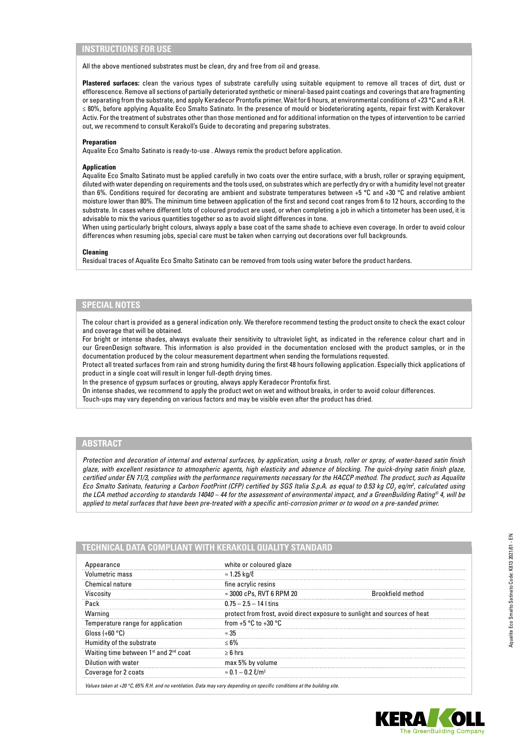## **INSTRUCTIONS FOR USE**

All the above mentioned substrates must be clean, dry and free from oil and grease.

**Plastered surfaces:** clean the various types of substrate carefully using suitable equipment to remove all traces of dirt, dust or efflorescence. Remove all sections of partially deteriorated synthetic or mineral-based paint coatings and coverings that are fragmenting or separating from the substrate, and apply Keradecor Prontofix primer. Wait for 6 hours, at environmental conditions of +23 °C and a R.H. ≤ 80%, before applying Aqualite Eco Smalto Satinato. In the presence of mould or biodeteriorating agents, repair first with Kerakover Activ. For the treatment of substrates other than those mentioned and for additional information on the types of intervention to be carried out, we recommend to consult Kerakoll's Guide to decorating and preparing substrates.

#### **Preparation**

Aqualite Eco Smalto Satinato is ready-to-use . Always remix the product before application.

#### **Application**

Aqualite Eco Smalto Satinato must be applied carefully in two coats over the entire surface, with a brush, roller or spraying equipment, diluted with water depending on requirements and the tools used, on substrates which are perfectly dry or with a humidity level not greater than 6%. Conditions required for decorating are ambient and substrate temperatures between +5 °C and +30 °C and relative ambient moisture lower than 80%. The minimum time between application of the first and second coat ranges from 6 to 12 hours, according to the substrate. In cases where different lots of coloured product are used, or when completing a job in which a tintometer has been used, it is advisable to mix the various quantities together so as to avoid slight differences in tone.

When using particularly bright colours, always apply a base coat of the same shade to achieve even coverage. In order to avoid colour differences when resuming jobs, special care must be taken when carrying out decorations over full backgrounds.

#### **Cleaning**

Residual traces of Aqualite Eco Smalto Satinato can be removed from tools using water before the product hardens.

#### **SPECIAL NOTES**

The colour chart is provided as a general indication only. We therefore recommend testing the product onsite to check the exact colour and coverage that will be obtained.

For bright or intense shades, always evaluate their sensitivity to ultraviolet light, as indicated in the reference colour chart and in our GreenDesign software. This information is also provided in the documentation enclosed with the product samples, or in the documentation produced by the colour measurement department when sending the formulations requested.

Protect all treated surfaces from rain and strong humidity during the first 48 hours following application. Especially thick applications of product in a single coat will result in longer full-depth drying times.

In the presence of gypsum surfaces or grouting, always apply Keradecor Prontofix first.

On intense shades, we recommend to apply the product wet on wet and without breaks, in order to avoid colour differences. Touch-ups may vary depending on various factors and may be visible even after the product has dried.

## **ABSTRACT**

*Protection and decoration of internal and external surfaces, by application, using a brush, roller or spray, of water-based satin finish glaze, with excellent resistance to atmospheric agents, high elasticity and absence of blocking. The quick-drying satin finish glaze, certified under EN 71/3, complies with the performance requirements necessary for the HACCP method. The product, such as Aqualite Eco Smalto Satinato, featuring a Carbon FootPrint (CFP) certified by SGS Italia S.p.A. as equal to 0.53 kg CO2 eq/m2 , calculated using the LCA method according to standards 14040 – 44 for the assessment of environmental impact, and a GreenBuilding Rating® 4, will be applied to metal surfaces that have been pre-treated with a specific anti-corrosion primer or to wood on a pre-sanded primer.*

| Appearance                                                    | white or coloured glaze                                                   |                          |
|---------------------------------------------------------------|---------------------------------------------------------------------------|--------------------------|
| Volumetric mass                                               | $\approx$ 1.25 kg/ $\ell$                                                 |                          |
| Chemical nature                                               | fine acrylic resins                                                       |                          |
| Viscosity                                                     | $\approx$ 3000 cPs, RVT 6 RPM 20                                          | <b>Brookfield method</b> |
| Pack                                                          | $0.75 - 2.5 - 14$ I tins                                                  |                          |
| Warning                                                       | protect from frost, avoid direct exposure to sunlight and sources of heat |                          |
| Temperature range for application                             | from $+5$ °C to $+30$ °C                                                  |                          |
| Gloss $(+60 °C)$                                              | $\approx 35$                                                              |                          |
| Humidity of the substrate                                     | $< 6\%$                                                                   |                          |
| Waiting time between 1 <sup>st</sup> and 2 <sup>nd</sup> coat | $\geq 6$ hrs                                                              |                          |
| Dilution with water                                           | max 5% by volume                                                          |                          |
| Coverage for 2 coats                                          | $\approx 0.1 - 0.2$ $\ell/m^2$                                            |                          |

*Values taken at +20 °C, 65% R.H. and no ventilation. Data may vary depending on specific conditions at the building site.*